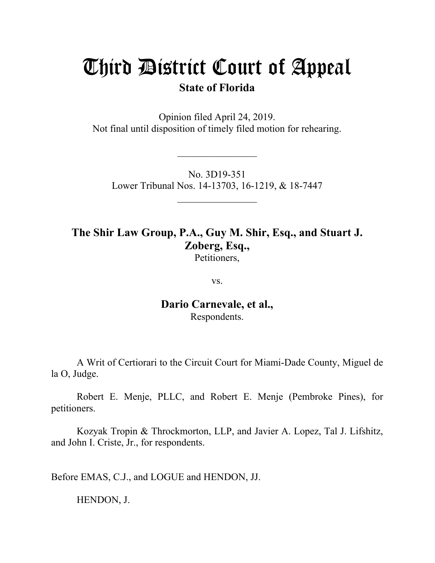## Third District Court of Appeal

**State of Florida**

Opinion filed April 24, 2019. Not final until disposition of timely filed motion for rehearing.

 $\mathcal{L}_\text{max}$ 

No. 3D19-351 Lower Tribunal Nos. 14-13703, 16-1219, & 18-7447

 $\mathcal{L}=\mathcal{L}^{\text{max}}$ 

**The Shir Law Group, P.A., Guy M. Shir, Esq., and Stuart J. Zoberg, Esq.,** Petitioners,

vs.

**Dario Carnevale, et al.,** Respondents.

A Writ of Certiorari to the Circuit Court for Miami-Dade County, Miguel de la O, Judge.

Robert E. Menje, PLLC, and Robert E. Menje (Pembroke Pines), for petitioners.

Kozyak Tropin & Throckmorton, LLP, and Javier A. Lopez, Tal J. Lifshitz, and John I. Criste, Jr., for respondents.

Before EMAS, C.J., and LOGUE and HENDON, JJ.

HENDON, J.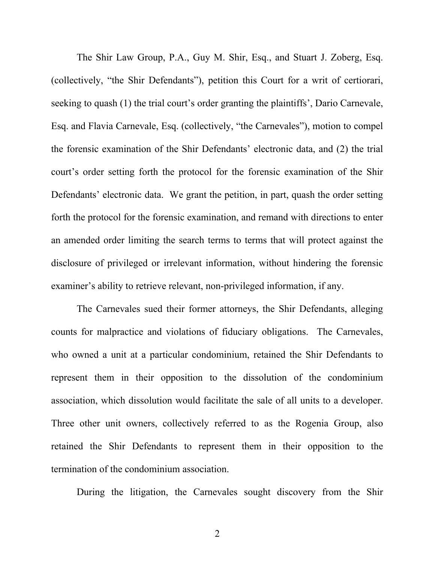The Shir Law Group, P.A., Guy M. Shir, Esq., and Stuart J. Zoberg, Esq. (collectively, "the Shir Defendants"), petition this Court for a writ of certiorari, seeking to quash (1) the trial court's order granting the plaintiffs', Dario Carnevale, Esq. and Flavia Carnevale, Esq. (collectively, "the Carnevales"), motion to compel the forensic examination of the Shir Defendants' electronic data, and (2) the trial court's order setting forth the protocol for the forensic examination of the Shir Defendants' electronic data. We grant the petition, in part, quash the order setting forth the protocol for the forensic examination, and remand with directions to enter an amended order limiting the search terms to terms that will protect against the disclosure of privileged or irrelevant information, without hindering the forensic examiner's ability to retrieve relevant, non-privileged information, if any.

The Carnevales sued their former attorneys, the Shir Defendants, alleging counts for malpractice and violations of fiduciary obligations. The Carnevales, who owned a unit at a particular condominium, retained the Shir Defendants to represent them in their opposition to the dissolution of the condominium association, which dissolution would facilitate the sale of all units to a developer. Three other unit owners, collectively referred to as the Rogenia Group, also retained the Shir Defendants to represent them in their opposition to the termination of the condominium association.

During the litigation, the Carnevales sought discovery from the Shir

2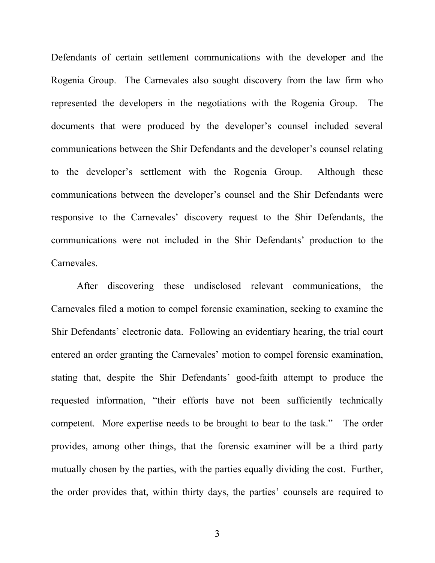Defendants of certain settlement communications with the developer and the Rogenia Group. The Carnevales also sought discovery from the law firm who represented the developers in the negotiations with the Rogenia Group. The documents that were produced by the developer's counsel included several communications between the Shir Defendants and the developer's counsel relating to the developer's settlement with the Rogenia Group. Although these communications between the developer's counsel and the Shir Defendants were responsive to the Carnevales' discovery request to the Shir Defendants, the communications were not included in the Shir Defendants' production to the Carnevales.

After discovering these undisclosed relevant communications, the Carnevales filed a motion to compel forensic examination, seeking to examine the Shir Defendants' electronic data. Following an evidentiary hearing, the trial court entered an order granting the Carnevales' motion to compel forensic examination, stating that, despite the Shir Defendants' good-faith attempt to produce the requested information, "their efforts have not been sufficiently technically competent. More expertise needs to be brought to bear to the task." The order provides, among other things, that the forensic examiner will be a third party mutually chosen by the parties, with the parties equally dividing the cost. Further, the order provides that, within thirty days, the parties' counsels are required to

3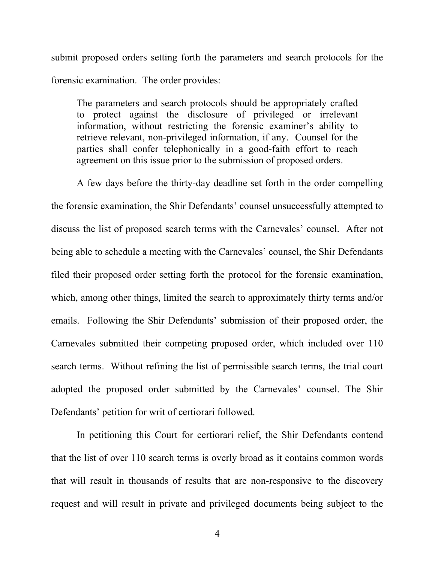submit proposed orders setting forth the parameters and search protocols for the forensic examination. The order provides:

The parameters and search protocols should be appropriately crafted to protect against the disclosure of privileged or irrelevant information, without restricting the forensic examiner's ability to retrieve relevant, non-privileged information, if any. Counsel for the parties shall confer telephonically in a good-faith effort to reach agreement on this issue prior to the submission of proposed orders.

A few days before the thirty-day deadline set forth in the order compelling the forensic examination, the Shir Defendants' counsel unsuccessfully attempted to discuss the list of proposed search terms with the Carnevales' counsel. After not being able to schedule a meeting with the Carnevales' counsel, the Shir Defendants filed their proposed order setting forth the protocol for the forensic examination, which, among other things, limited the search to approximately thirty terms and/or emails. Following the Shir Defendants' submission of their proposed order, the Carnevales submitted their competing proposed order, which included over 110 search terms. Without refining the list of permissible search terms, the trial court adopted the proposed order submitted by the Carnevales' counsel. The Shir Defendants' petition for writ of certiorari followed.

In petitioning this Court for certiorari relief, the Shir Defendants contend that the list of over 110 search terms is overly broad as it contains common words that will result in thousands of results that are non-responsive to the discovery request and will result in private and privileged documents being subject to the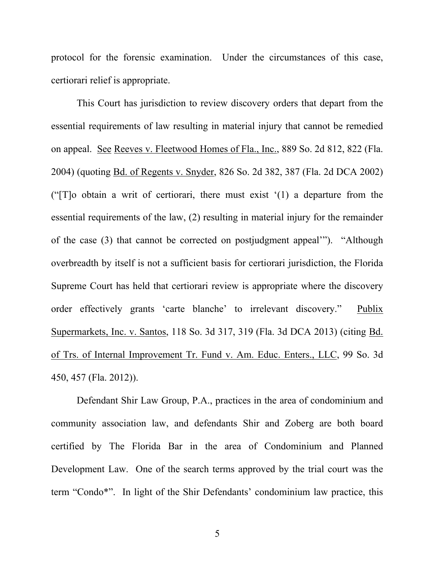protocol for the forensic examination. Under the circumstances of this case, certiorari relief is appropriate.

This Court has jurisdiction to review discovery orders that depart from the essential requirements of law resulting in material injury that cannot be remedied on appeal. See Reeves v. Fleetwood Homes of Fla., Inc., 889 So. 2d 812, 822 (Fla. 2004) (quoting Bd. of Regents v. Snyder, 826 So. 2d 382, 387 (Fla. 2d DCA 2002) ("[T]o obtain a writ of certiorari, there must exist '(1) a departure from the essential requirements of the law, (2) resulting in material injury for the remainder of the case (3) that cannot be corrected on postjudgment appeal'"). "Although overbreadth by itself is not a sufficient basis for certiorari jurisdiction, the Florida Supreme Court has held that certiorari review is appropriate where the discovery order effectively grants 'carte blanche' to irrelevant discovery." Publix Supermarkets, Inc. v. Santos, 118 So. 3d 317, 319 (Fla. 3d DCA 2013) (citing Bd. of Trs. of Internal Improvement Tr. Fund v. Am. Educ. Enters., LLC, 99 So. 3d 450, 457 (Fla. 2012)).

Defendant Shir Law Group, P.A., practices in the area of condominium and community association law, and defendants Shir and Zoberg are both board certified by The Florida Bar in the area of Condominium and Planned Development Law. One of the search terms approved by the trial court was the term "Condo\*". In light of the Shir Defendants' condominium law practice, this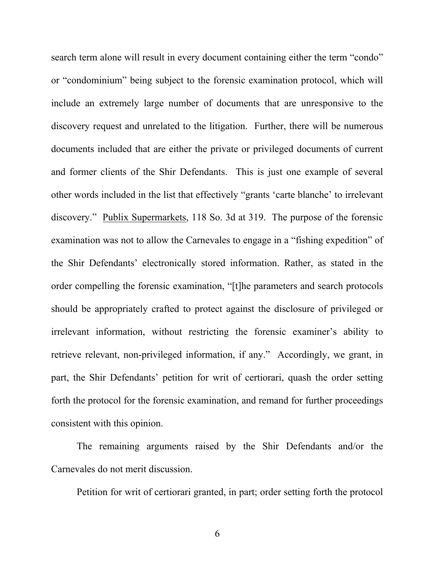search term alone will result in every document containing either the term "condo" or "condominium" being subject to the forensic examination protocol, which will include an extremely large number of documents that are unresponsive to the discovery request and unrelated to the litigation. Further, there will be numerous documents included that are either the private or privileged documents of current and former clients of the Shir Defendants. This is just one example of several other words included in the list that effectively "grants 'carte blanche' to irrelevant discovery." Publix Supermarkets, 118 So. 3d at 319. The purpose of the forensic examination was not to allow the Carnevales to engage in a "fishing expedition" of the Shir Defendants' electronically stored information. Rather, as stated in the order compelling the forensic examination, "[t]he parameters and search protocols should be appropriately crafted to protect against the disclosure of privileged or irrelevant information, without restricting the forensic examiner's ability to retrieve relevant, non-privileged information, if any." Accordingly, we grant, in part, the Shir Defendants' petition for writ of certiorari, quash the order setting forth the protocol for the forensic examination, and remand for further proceedings consistent with this opinion.

The remaining arguments raised by the Shir Defendants and/or the Carnevales do not merit discussion.

Petition for writ of certiorari granted, in part; order setting forth the protocol

6